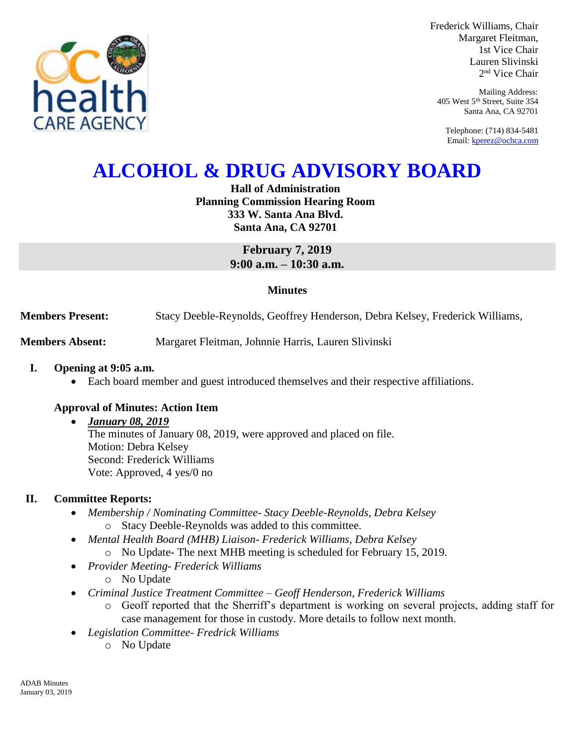

Frederick Williams, Chair Margaret Fleitman, 1st Vice Chair Lauren Slivinski 2 nd Vice Chair

Mailing Address: 405 West 5th Street, Suite 354 Santa Ana, CA 92701

Telephone: (714) 834-5481 Email[: kperez@ochca.com](mailto:kperez@ochca.com)

# **ALCOHOL & DRUG ADVISORY BOARD**

### **Hall of Administration Planning Commission Hearing Room 333 W. Santa Ana Blvd. Santa Ana, CA 92701**

**February 7, 2019 9:00 a.m. – 10:30 a.m.** 

#### **Minutes**

**Members Present:** Stacy Deeble-Reynolds, Geoffrey Henderson, Debra Kelsey, Frederick Williams,

**Members Absent:** Margaret Fleitman, Johnnie Harris, Lauren Slivinski

#### **I. Opening at 9:05 a.m.**

Each board member and guest introduced themselves and their respective affiliations.

#### **Approval of Minutes: Action Item**

#### *January 08, 2019*

The minutes of January 08, 2019, were approved and placed on file. Motion: Debra Kelsey Second: Frederick Williams Vote: Approved, 4 yes/0 no

#### **II. Committee Reports:**

- *Membership / Nominating Committee- Stacy Deeble-Reynolds, Debra Kelsey*  o Stacy Deeble-Reynolds was added to this committee.
- *Mental Health Board (MHB) Liaison- Frederick Williams, Debra Kelsey* 
	- o No Update- The next MHB meeting is scheduled for February 15, 2019.
- *Provider Meeting- Frederick Williams*
	- o No Update
- *Criminal Justice Treatment Committee – Geoff Henderson, Frederick Williams*
	- o Geoff reported that the Sherriff's department is working on several projects, adding staff for case management for those in custody. More details to follow next month.
- *Legislation Committee- Fredrick Williams*
	- o No Update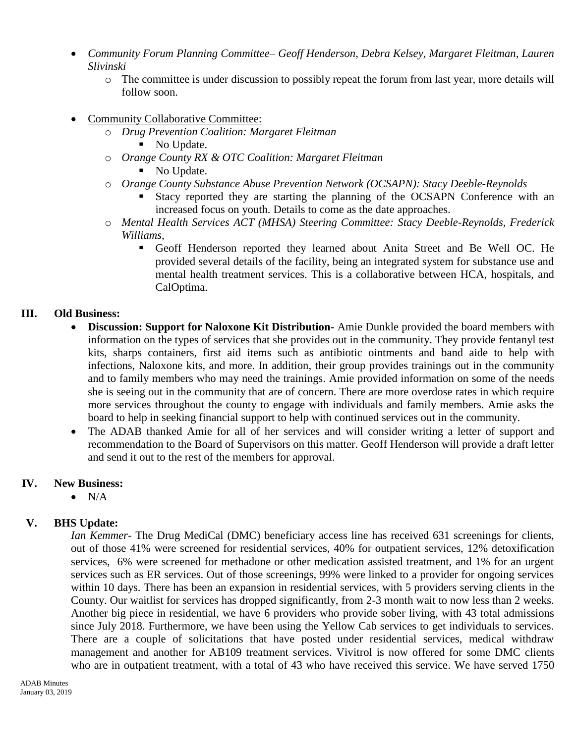- *Community Forum Planning Committee– Geoff Henderson, Debra Kelsey, Margaret Fleitman, Lauren Slivinski*
	- o The committee is under discussion to possibly repeat the forum from last year, more details will follow soon.
- Community Collaborative Committee:
	- o *Drug Prevention Coalition: Margaret Fleitman*
		- No Update.
	- o *Orange County RX & OTC Coalition: Margaret Fleitman*
		- No Update.
	- o *Orange County Substance Abuse Prevention Network (OCSAPN): Stacy Deeble-Reynolds*
		- Stacy reported they are starting the planning of the OCSAPN Conference with an increased focus on youth. Details to come as the date approaches.
	- o *Mental Health Services ACT (MHSA) Steering Committee: Stacy Deeble-Reynolds, Frederick Williams,* 
		- Geoff Henderson reported they learned about Anita Street and Be Well OC. He provided several details of the facility, being an integrated system for substance use and mental health treatment services. This is a collaborative between HCA, hospitals, and CalOptima.

#### **III. Old Business:**

- **Discussion: Support for Naloxone Kit Distribution-** Amie Dunkle provided the board members with information on the types of services that she provides out in the community. They provide fentanyl test kits, sharps containers, first aid items such as antibiotic ointments and band aide to help with infections, Naloxone kits, and more. In addition, their group provides trainings out in the community and to family members who may need the trainings. Amie provided information on some of the needs she is seeing out in the community that are of concern. There are more overdose rates in which require more services throughout the county to engage with individuals and family members. Amie asks the board to help in seeking financial support to help with continued services out in the community.
- The ADAB thanked Amie for all of her services and will consider writing a letter of support and recommendation to the Board of Supervisors on this matter. Geoff Henderson will provide a draft letter and send it out to the rest of the members for approval.

## **IV. New Business:**

 $\bullet$  N/A

## **V. BHS Update:**

*Ian Kemmer-* The Drug MediCal (DMC) beneficiary access line has received 631 screenings for clients, out of those 41% were screened for residential services, 40% for outpatient services, 12% detoxification services, 6% were screened for methadone or other medication assisted treatment, and 1% for an urgent services such as ER services. Out of those screenings, 99% were linked to a provider for ongoing services within 10 days. There has been an expansion in residential services, with 5 providers serving clients in the County. Our waitlist for services has dropped significantly, from 2-3 month wait to now less than 2 weeks. Another big piece in residential, we have 6 providers who provide sober living, with 43 total admissions since July 2018. Furthermore, we have been using the Yellow Cab services to get individuals to services. There are a couple of solicitations that have posted under residential services, medical withdraw management and another for AB109 treatment services. Vivitrol is now offered for some DMC clients who are in outpatient treatment, with a total of 43 who have received this service. We have served 1750